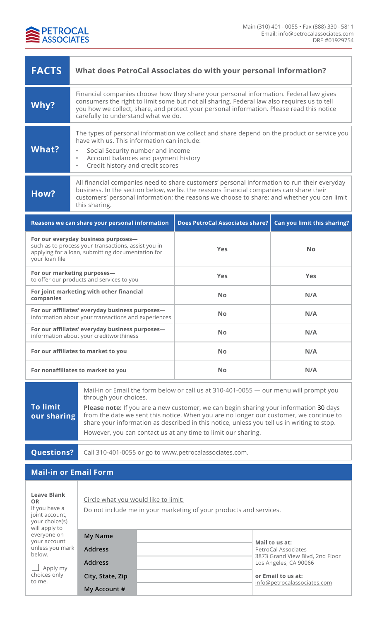

| <b>FACTS</b>                                                                                                                                                                                                        | What does PetroCal Associates do with your personal information?                                                                                                                                                                                                                                                                                                                                                                                                 |                                        |                                                                                                                                                        |  |
|---------------------------------------------------------------------------------------------------------------------------------------------------------------------------------------------------------------------|------------------------------------------------------------------------------------------------------------------------------------------------------------------------------------------------------------------------------------------------------------------------------------------------------------------------------------------------------------------------------------------------------------------------------------------------------------------|----------------------------------------|--------------------------------------------------------------------------------------------------------------------------------------------------------|--|
| Why?                                                                                                                                                                                                                | Financial companies choose how they share your personal information. Federal law gives<br>consumers the right to limit some but not all sharing. Federal law also requires us to tell<br>you how we collect, share, and protect your personal information. Please read this notice<br>carefully to understand what we do.                                                                                                                                        |                                        |                                                                                                                                                        |  |
| <b>What?</b>                                                                                                                                                                                                        | The types of personal information we collect and share depend on the product or service you<br>have with us. This information can include:<br>Social Security number and income<br>$\bullet$<br>Account balances and payment history<br>$\bullet$<br>Credit history and credit scores<br>$\bullet$                                                                                                                                                               |                                        |                                                                                                                                                        |  |
| How?                                                                                                                                                                                                                | All financial companies need to share customers' personal information to run their everyday<br>business. In the section below, we list the reasons financial companies can share their<br>customers' personal information; the reasons we choose to share; and whether you can limit<br>this sharing.                                                                                                                                                            |                                        |                                                                                                                                                        |  |
|                                                                                                                                                                                                                     | Reasons we can share your personal information                                                                                                                                                                                                                                                                                                                                                                                                                   | <b>Does PetroCal Associates share?</b> | Can you limit this sharing?                                                                                                                            |  |
| For our everyday business purposes-<br>such as to process your transactions, assist you in<br>applying for a loan, submitting documentation for<br>your loan file                                                   |                                                                                                                                                                                                                                                                                                                                                                                                                                                                  | <b>Yes</b>                             | <b>No</b>                                                                                                                                              |  |
| For our marketing purposes-<br>to offer our products and services to you                                                                                                                                            |                                                                                                                                                                                                                                                                                                                                                                                                                                                                  | <b>Yes</b>                             | <b>Yes</b>                                                                                                                                             |  |
| For joint marketing with other financial<br>companies                                                                                                                                                               |                                                                                                                                                                                                                                                                                                                                                                                                                                                                  | <b>No</b>                              | N/A                                                                                                                                                    |  |
| For our affiliates' everyday business purposes-<br>information about your transactions and experiences                                                                                                              |                                                                                                                                                                                                                                                                                                                                                                                                                                                                  | <b>No</b>                              | N/A                                                                                                                                                    |  |
| For our affiliates' everyday business purposes-<br>information about your creditworthiness                                                                                                                          |                                                                                                                                                                                                                                                                                                                                                                                                                                                                  | <b>No</b>                              | N/A                                                                                                                                                    |  |
| For our affiliates to market to you                                                                                                                                                                                 |                                                                                                                                                                                                                                                                                                                                                                                                                                                                  | <b>No</b>                              | N/A                                                                                                                                                    |  |
| For nonaffiliates to market to you                                                                                                                                                                                  |                                                                                                                                                                                                                                                                                                                                                                                                                                                                  | <b>No</b>                              | N/A                                                                                                                                                    |  |
| <b>To limit</b><br>our sharing                                                                                                                                                                                      | Mail-in or Email the form below or call us at 310-401-0055 — our menu will prompt you<br>through your choices.<br>Please note: If you are a new customer, we can begin sharing your information 30 days<br>from the date we sent this notice. When you are no longer our customer, we continue to<br>share your information as described in this notice, unless you tell us in writing to stop.<br>However, you can contact us at any time to limit our sharing. |                                        |                                                                                                                                                        |  |
|                                                                                                                                                                                                                     |                                                                                                                                                                                                                                                                                                                                                                                                                                                                  |                                        |                                                                                                                                                        |  |
| <b>Questions?</b>                                                                                                                                                                                                   | Call 310-401-0055 or go to www.petrocalassociates.com.                                                                                                                                                                                                                                                                                                                                                                                                           |                                        |                                                                                                                                                        |  |
| <b>Mail-in or Email Form</b>                                                                                                                                                                                        |                                                                                                                                                                                                                                                                                                                                                                                                                                                                  |                                        |                                                                                                                                                        |  |
| <b>Leave Blank</b><br>Circle what you would like to limit:<br><b>OR</b><br>If you have a<br>Do not include me in your marketing of your products and services.<br>joint account,<br>your choice(s)<br>will apply to |                                                                                                                                                                                                                                                                                                                                                                                                                                                                  |                                        |                                                                                                                                                        |  |
| everyone on<br>your account<br>unless you mark<br>below.<br>Apply my<br>choices only<br>to me.                                                                                                                      | <b>My Name</b><br><b>Address</b><br><b>Address</b><br>City, State, Zip                                                                                                                                                                                                                                                                                                                                                                                           |                                        | Mail to us at:<br>PetroCal Associates<br>3873 Grand View Blvd, 2nd Floor<br>Los Angeles, CA 90066<br>or Email to us at:<br>info@petrocalassociates.com |  |

**My Account #**